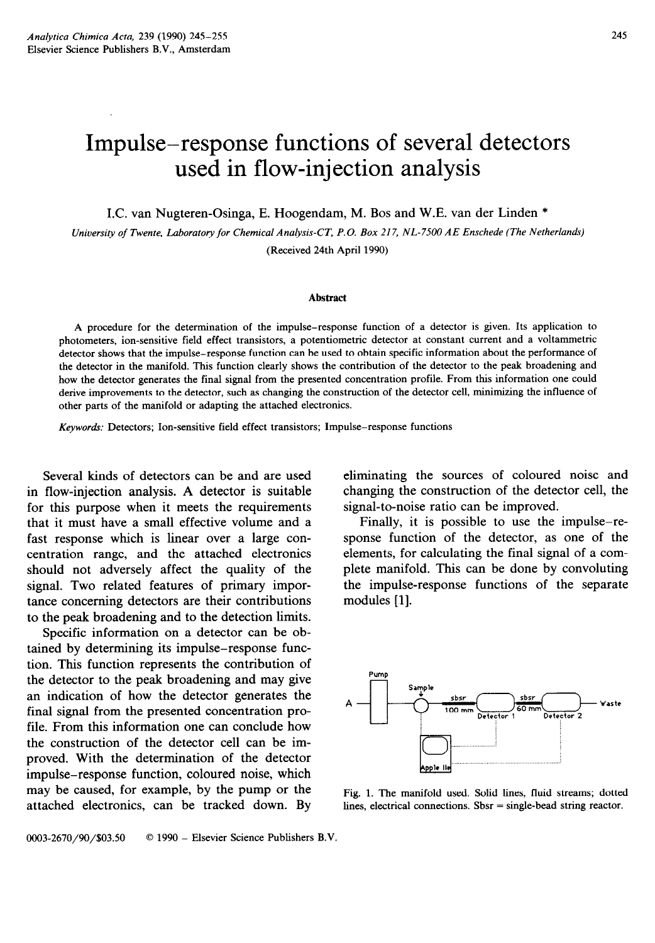I.C. van Nugteren-Osinga, E. Hoogendam, M. Bos and W.E. van der Linden \*

*University of Twente, Laboratory for Chemical Analysis-CT, P.O. Box 217, ML-7500 AE Enschede (The Netherlands)*  (Received 24th April 1990)

#### **Abstract**

A procedure for the determination of the impulse-response function of a detector is given. Its application to photometers, ion-sensitive field effect transistors, a potentiometric detector at constant current and a voltammetric detector shows that the impulse-response function can be used to obtain specific information about the performance of the detector in the manifold. This function clearly shows the contribution of the detector to the peak broadening and how the detector generates the final signal from the presented concentration profile. From this information one could derive improvements to the detector, such as changing the construction of the detector cell, minimizing the influence of other parts of the manifold or adapting the attached electronics.

*Keywordr:* Detectors; Ion-sensitive field effect transistors; Impulse-response functions

Several kinds of detectors can be and are used in flow-injection analysis. A detector is suitable for this purpose when it meets the requirements that it must have a small effective volume and a fast response which is linear over a large concentration range, and the attached electronics should not adversely affect the quality of the signal. Two related features of primary importance concerning detectors are their contributions to the peak broadening and to the detection limits.

Specific information on a detector can be obtained by determining its impulse-response function. This function represents the contribution of the detector to the peak broadening and may give an indication of how the detector generates the final signal from the presented concentration profile. From this information one can conclude how the construction of the detector cell can be improved. With the determination of the detector impulse-response function, coloured noise, which may be caused, for example, by the pump or the attached electronics, can be tracked down. By

0003-2670/90/\$03.50 © 1990 - Elsevier Science Publishers B.V.

eliminating the sources of coloured noise and changing the construction of the detector cell, the signal-to-noise ratio can be improved.

Finally, it is possible to use the impulse-response function of the detector, as one of the elements, for calculating the final signal of a complete manifold. This can be done by convoluting the impulse-response functions of the separate modules [1].



Fig. 1. The manifold used. Solid lines, fluid streams; dotted lines, electrical connections. Sbsr = single-bead string reactor.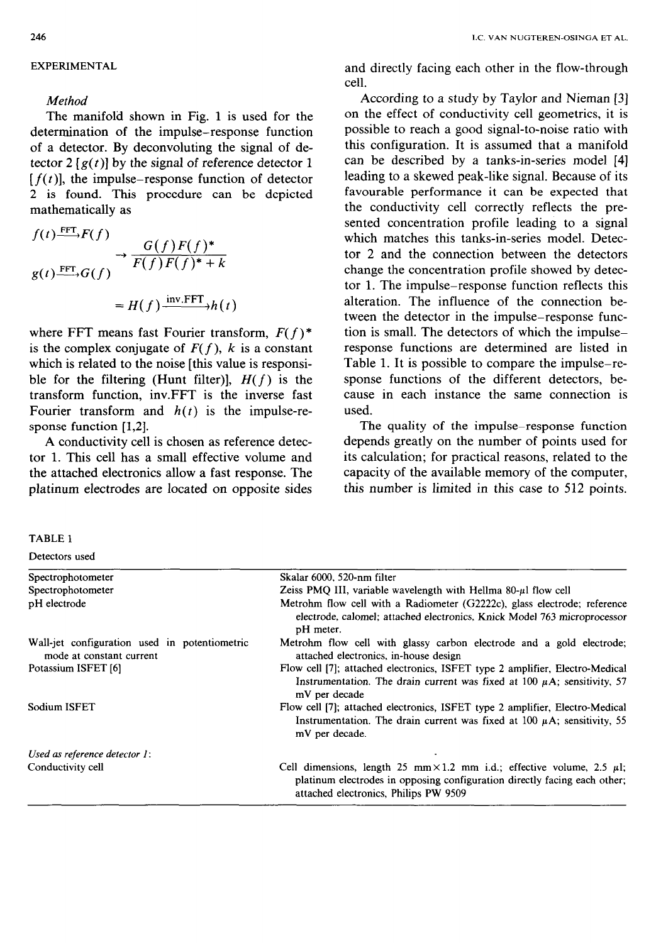## *Merhod*

The manifold shown in Fig. 1 is used for the determination of the impulse-response function of a detector. By deconvoluting the signal of detector  $2[g(t)]$  by the signal of reference detector 1  $[f(t)]$ , the impulse–response function of detector 2 is found. This procedure can be depicted mathematically as

$$
f(t) \xrightarrow{\text{FFT}} F(f)
$$
  
\n
$$
g(t) \xrightarrow{\text{FFT}} G(f)
$$
  
\n
$$
= H(f) \xrightarrow{\text{inv.FFT}} h(t)
$$

where FFT means fast Fourier transform,  $F(f)^*$ is the complex conjugate of  $F(f)$ ,  $k$  is a constant which is related to the noise [this value is responsible for the filtering (Hunt filter)],  $H(f)$  is the transform function, inv.FFT is the inverse fast Fourier transform and  $h(t)$  is the impulse-response function  $[1,2]$ .

A conductivity cell is chosen as reference detector 1. This cell has a small effective volume and the attached electronics allow a fast response. The platinum electrodes are located on opposite sides

## TABLE 1

Detectors used

EXPERIMENTAL **EXPERIMENTAL** and directly facing each other in the flow-through cell.

> According to a study by Taylor and Nieman [3] on the effect of conductivity cell geometries, it is possible to reach a good signal-to-noise ratio with this configuration. It is assumed that a manifold can be described by a tanks-in-series model [4] leading to a skewed peak-like signal. Because of its favourable performance it can be expected that the conductivity cell correctly reflects the presented concentration profile leading to a signal which matches this tanks-in-series model. Detector 2 and the connection between the detectors change the concentration profile showed by detector 1. The impulse-response function reflects this alteration. The influence of the connection between the detector in the impulse-response function is small. The detectors of which the impulseresponse functions are determined are listed in Table 1. It is possible to compare the impulse-response functions of the different detectors, because in each instance the same connection is used.

> The quality of the impulse-response function depends greatly on the number of points used for its calculation; for practical reasons, related to the capacity of the available memory of the computer, this number is limited in this case to 512 points.

| Spectrophotometer                                                         | Skalar 6000, 520-nm filter                                                                                                                                                                               |
|---------------------------------------------------------------------------|----------------------------------------------------------------------------------------------------------------------------------------------------------------------------------------------------------|
| Spectrophotometer                                                         | Zeiss PMQ III, variable wavelength with Hellma $80-\mu$ flow cell                                                                                                                                        |
| pH electrode                                                              | Metrohm flow cell with a Radiometer (G2222c), glass electrode; reference<br>electrode, calomel; attached electronics, Knick Model 763 microprocessor<br>pH meter.                                        |
| Wall-jet configuration used in potentiometric<br>mode at constant current | Metrohm flow cell with glassy carbon electrode and a gold electrode;<br>attached electronics, in-house design                                                                                            |
| Potassium ISFET [6]                                                       | Flow cell [7]; attached electronics, ISFET type 2 amplifier, Electro-Medical<br>Instrumentation. The drain current was fixed at 100 $\mu$ A; sensitivity, 57<br>mV per decade                            |
| Sodium ISFET                                                              | Flow cell [7]; attached electronics, ISFET type 2 amplifier, Electro-Medical<br>Instrumentation. The drain current was fixed at 100 $\mu$ A; sensitivity, 55<br>mV per decade.                           |
| Used as reference detector 1:                                             |                                                                                                                                                                                                          |
| Conductivity cell                                                         | Cell dimensions, length 25 mm $\times$ 1.2 mm i.d.; effective volume, 2.5 $\mu$ l;<br>platinum electrodes in opposing configuration directly facing each other;<br>attached electronics, Philips PW 9509 |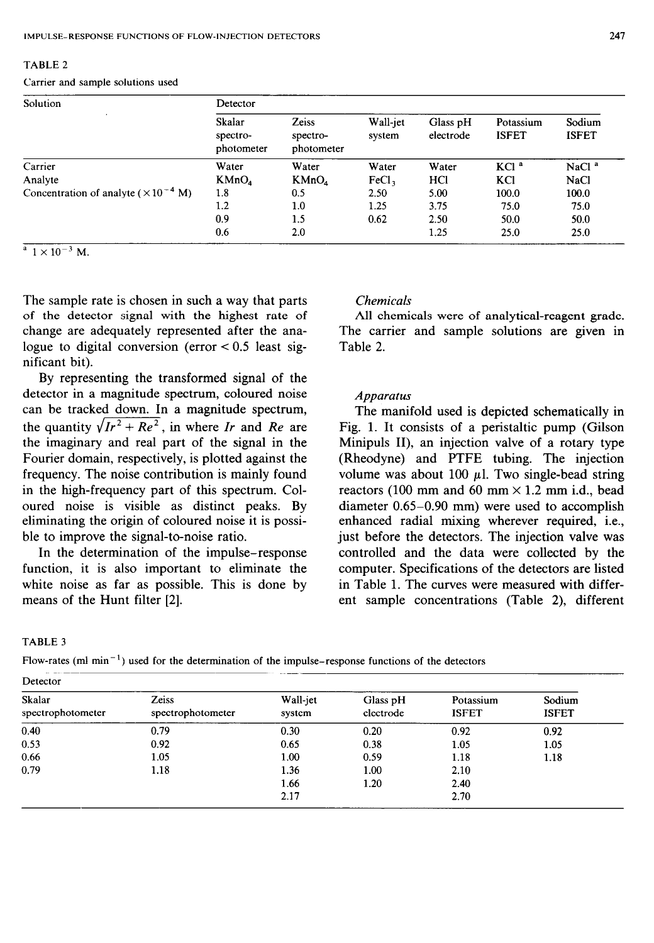#### TABLE 2

Carrier and sample solutions used

| Solution                                      | Detector                         |                                 |                    |                       |                           |                        |  |
|-----------------------------------------------|----------------------------------|---------------------------------|--------------------|-----------------------|---------------------------|------------------------|--|
|                                               | Skalar<br>spectro-<br>photometer | Zeiss<br>spectro-<br>photometer | Wall-jet<br>system | Glass pH<br>electrode | Potassium<br><b>ISFET</b> | Sodium<br><b>ISFET</b> |  |
| Carrier                                       | Water                            | Water                           | Water              | Water                 | KCl <sup>a</sup>          | NaCl <sup>a</sup>      |  |
| Analyte                                       | KMnO <sub>4</sub>                | KMnO <sub>4</sub>               | FeCl <sub>2</sub>  | HCl                   | KCI                       | <b>NaCl</b>            |  |
| Concentration of analyte $(\times 10^{-4}$ M) | 1.8                              | 0.5                             | 2.50               | 5.00                  | 100.0                     | 100.0                  |  |
|                                               | 1.2                              | $1.0\,$                         | 1.25               | 3.75                  | 75.0                      | 75.0                   |  |
|                                               | 0.9                              | 1.5                             | 0.62               | 2.50                  | 50.0                      | 50.0                   |  |
|                                               | 0.6                              | 2.0                             |                    | 1.25                  | 25.0                      | 25.0                   |  |

 $^{\rm a}$  1  $\times$  10<sup>-3</sup> M.

The sample rate is chosen in such a way that parts of the detector signal with the highest rate of change are adequately represented after the analogue to digital conversion (error < 0.5 least significant bit).

By representing the transformed signal of the detector in a magnitude spectrum, coloured noise can be tracked down. In a magnitude spectrum, the quantity  $\sqrt{Ir^2+Re^2}$ , in where *Ir* and *Re* are the imaginary and real part of the signal in the Fourier domain, respectively, is plotted against the frequency. The noise contribution is mainly found in the high-frequency part of this spectrum. Coloured noise is visible as distinct peaks. By eliminating the origin of coloured noise it is possible to improve the signal-to-noise ratio.

In the determination of the impulse-response function, it is also important to eliminate the white noise as far as possible. This is done by means of the Hunt filter [2].

#### *Chemicals*

All chemicals were of analytical-reagent grade. The carrier and sample solutions are given in Table 2.

#### *Apparatus*

The manifold used is depicted schematically in Fig. 1. It consists of a peristaltic pump (Gilson Minipuls II), an injection valve of a rotary type (Rheodyne) and PTFE tubing. The injection volume was about 100  $\mu$ l. Two single-bead string reactors (100 mm and 60 mm  $\times$  1.2 mm i.d., bead diameter 0.65-0.90 mm) were used to accomplish enhanced radial mixing wherever required, i.e., just before the detectors. The injection valve was controlled and the data were collected by the computer. Specifications of the detectors are listed in Table 1. The curves were measured with different sample concentrations (Table 2), different

TABLE 3

Flow-rates (ml min<sup>-1</sup>) used for the determination of the impulse-response functions of the detectors

| Detector                    |                            |                    |                       |                           |                        |  |  |  |
|-----------------------------|----------------------------|--------------------|-----------------------|---------------------------|------------------------|--|--|--|
| Skalar<br>spectrophotometer | Zeiss<br>spectrophotometer | Wall-jet<br>system | Glass pH<br>electrode | Potassium<br><b>ISFET</b> | Sodium<br><b>ISFET</b> |  |  |  |
| 0.40                        | 0.79                       | 0.30               | 0.20                  | 0.92                      | 0.92                   |  |  |  |
| 0.53                        | 0.92                       | 0.65               | 0.38                  | 1.05                      | 1.05                   |  |  |  |
| 0.66                        | 1.05                       | 1.00               | 0.59                  | 1.18                      | 1.18                   |  |  |  |
| 0.79                        | 1.18                       | 1.36               | 1.00                  | 2.10                      |                        |  |  |  |
|                             |                            | 1.66               | 1.20                  | 2.40                      |                        |  |  |  |
|                             |                            | 2.17               |                       | 2.70                      |                        |  |  |  |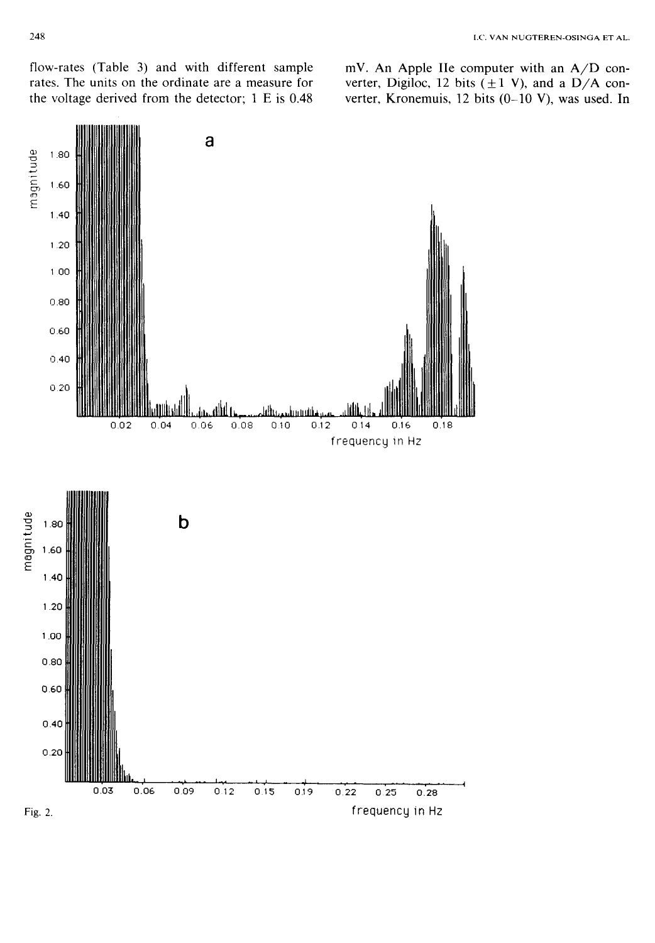flow-rates (Table 3) and with different sample mV. An Apple IIe computer with an A/D conrates. The units on the ordinate are a measure for verter, Digiloc, 12 bits  $(\pm 1 \text{ V})$ , and a D/A conthe voltage derived from the detector;  $1 \to$  is 0.48 verter, Kronemuis,  $12 \text{ bits } (0-10 \text{ V})$ , was used. In



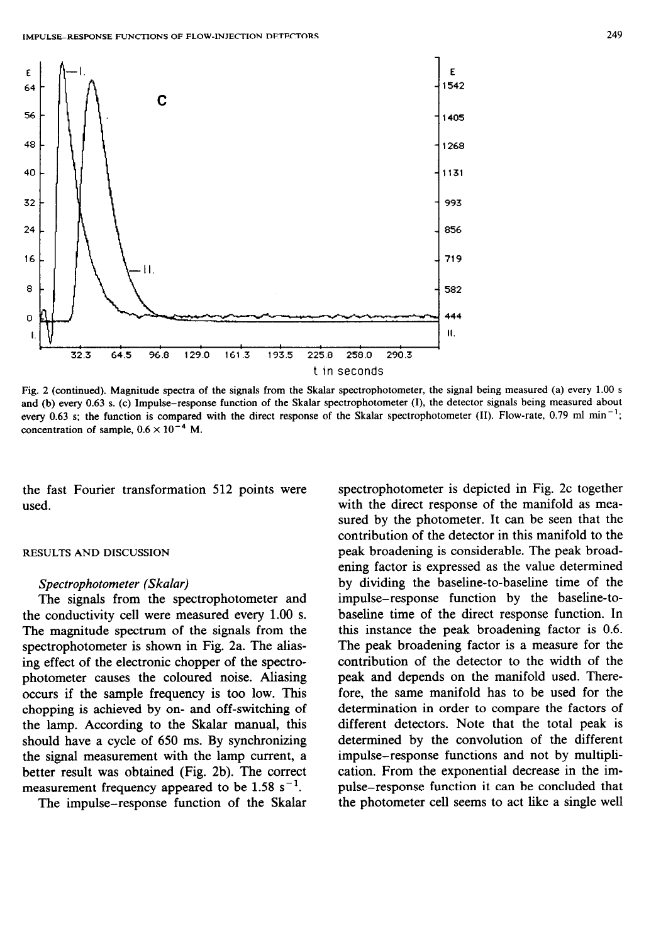

**Fig. 2 (continued). Magnitude spectra of the signals from the Skalar spectrophotometer, the signal being measured (a) every 1.00 s and (b) every 0.63 s. (c) Impulse-response function of the Skalar spectrophotometer (I), the detector signals being measured about**  every 0.63 s; the function is compared with the direct response of the Skalar spectrophotometer (II). Flow-rate, 0.79 ml min<sup>-1</sup>; concentration of sample,  $0.6 \times 10^{-4}$  M.

the fast Fourier transformation 512 points were used.

## **RESULTS AND DISCUSSION**

## *Spectrophotometer (Skalar)*

*The* signals from the spectrophotometer and the conductivity cell were measured every 1.00 s. The magnitude spectrum of the signals from the spectrophotometer is shown in Fig. 2a. The aliasing effect of the electronic chopper of the spectrophotometer causes the coloured noise. Aliasing occurs if the sample frequency is too low. This chopping is achieved by on- and off-switching of the lamp. According to the Skalar manual, this should have a cycle of 650 ms. By synchronizing the signal measurement with the lamp current, a better result was obtained (Fig. 2b). The correct measurement frequency appeared to be  $1.58 \text{ s}^{-1}$ .

The impulse-response function of the Skalar

spectrophotometer is depicted in Fig. 2c together with the direct response of the manifold as measured by the photometer. It can be seen that the contribution of the detector in this manifold to the peak broadening is considerable. The peak broadening factor is expressed as the value determined by dividing the baseline-to-baseline time of the impulse-response function by the baseline-tobaseline time of the direct response function. In this instance the peak broadening factor is 0.6. The peak broadening factor is a measure for the contribution of the detector to the width of the peak and depends on the manifold used. Therefore, the same manifold has to be used for the determination in order to compare the factors of different detectors. Note that the total peak is determined by the convolution of the different impulse-response functions and not by multiplication. From the exponential decrease in the impulse-response function it can be concluded that the photometer cell seems to act like a single well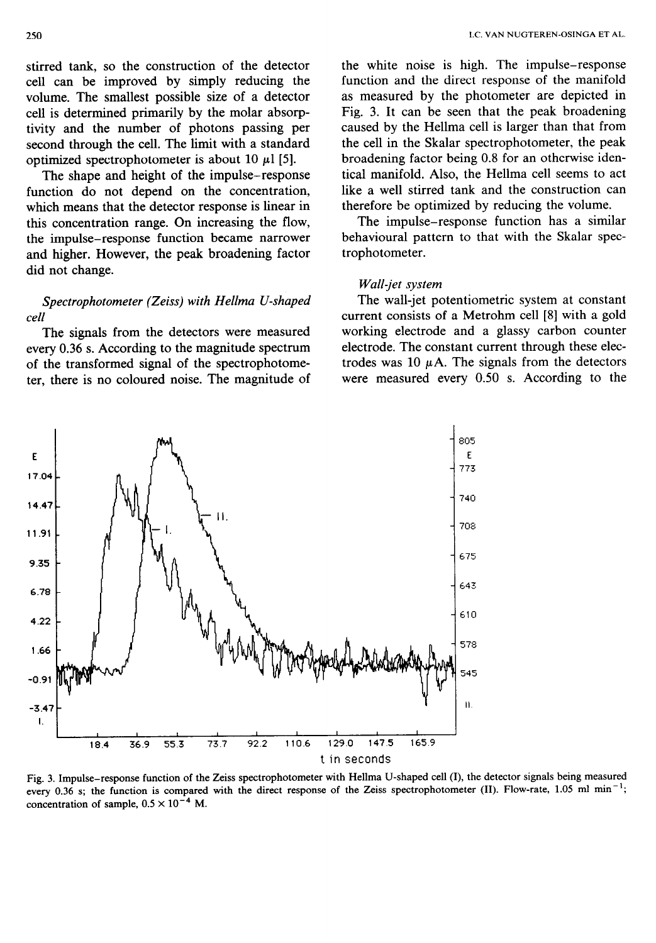stirred tank, so the construction of the detector cell can be improved by simply reducing the volume. The smallest possible size of a detector cell is determined primarily by the molar absorptivity and the number of photons passing per second through the cell. The limit with a standard optimized spectrophotometer is about 10  $\mu$ 1 [5].

The shape and height of the impulse-response function do not depend on the concentration, which means that the detector response is linear in this concentration range. On increasing the flow, the impulse-response function became narrower and higher. However, the peak broadening factor did not change.

## *Spectrophotometer (Zeiss) with Hellma U-shaped cell*

The signals from the detectors were measured every 0.36 s. According to the magnitude spectrum of the transformed signal of the spectrophotometer, there is no coloured noise. The magnitude of the white noise is high. The impulse-response function and the direct response of the manifold as measured by the photometer are depicted in Fig. 3. It can be seen that the peak broadening caused by the Hellma cell is larger than that from the cell in the Skalar spectrophotometer, the peak broadening factor being 0.8 for an otherwise identical manifold. Also, the Hellma cell seems to act like a well stirred tank and the construction can therefore be optimized by reducing the volume.

The impulse-response function has a similar behavioural pattern to that with the Skalar spectrophotometer.

## *Wall-jet system*

The wall-jet potentiometric system at constant current consists of a Metrohm cell [8] with a gold working electrode and a glassy carbon counter electrode. The constant current through these electrodes was 10  $\mu$ A. The signals from the detectors were measured every 0.50 s. According to the



Fig. 3. Impulse-response function of the Zeiss spectrophotometer with Hellma U-shaped cell (I), the detector signals being measured every 0.36 s; the function is compared with the direct response of the Zeiss spectrophotometer (II). Flow-rate, 1.05 ml min<sup>-1</sup>; concentration of sample,  $0.5 \times 10^{-4}$  M.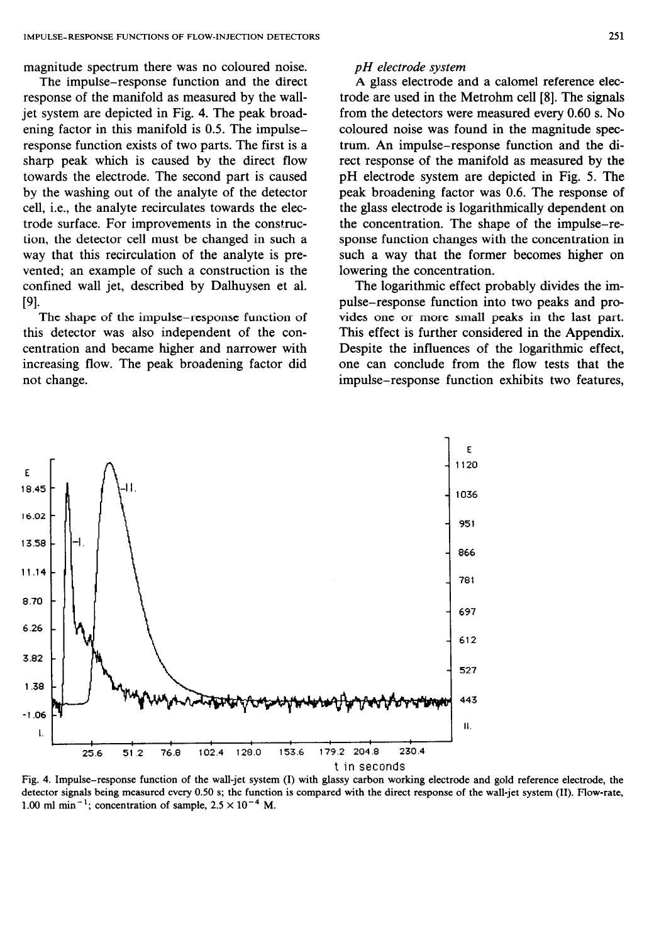magnitude spectrum there was no coloured noise.

The impulse-response function and the direct response of the manifold as measured by the walljet system are depicted in Fig. 4. The peak broadening factor in this manifold is 0.5. The impulseresponse function exists of two parts. The first is a sharp peak which is caused by the direct flow towards the electrode. The second part is caused by the washing out of the analyte of the detector cell, i.e., the analyte recirculates towards the electrode surface. For improvements in the construction, the detector cell must be changed in such a way that this recirculation of the analyte is prevented; an example of such a construction is the confined wall jet, described by Dalhuysen et al. 191.

The shape of the impulse-response function of this detector was also independent of the concentration and became higher and narrower with increasing flow. The peak broadening factor did not change.

## *pH electrode system*

A glass electrode and a calomel reference electrode are used in the Metrohm cell [8]. The signals from the detectors were measured every 0.60 s. No coloured noise was found in the magnitude spectrum. An impulse-response function and the direct response of the manifold as measured by the pH electrode system are depicted in Fig. 5. The peak broadening factor was 0.6. The response of the glass electrode is logarithmically dependent on the concentration. The shape of the impulse-response function changes with the concentration in such a way that the former becomes higher on lowering the concentration.

The logarithmic effect probably divides the impulse-response function into two peaks and provides one or more small peaks in the last part. This effect is further considered in the Appendix. Despite the influences of the logarithmic effect, one can conclude from the flow tests that the impulse-response function exhibits two features,



Fig. 4. Impulse-response function of the wall-jet system (I) with glassy carbon working electrode and gold reference electrode, the detector signals being measured every 0.50 s; the function is compared with the direct response of the wall-jet system (II). Flow-rate, 1.00 ml min<sup>-1</sup>; concentration of sample,  $2.5 \times 10^{-4}$  M.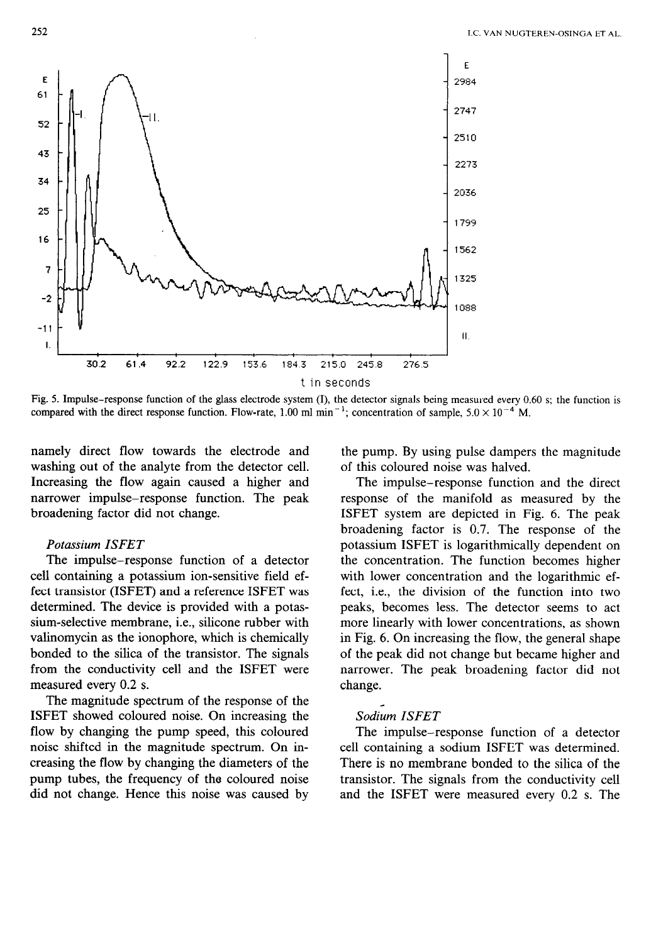

Fig. 5. Impulse-response function of the glass electrode system (I), the detector signals being measured every 0.60 s; the function is compared with the direct response function. Flow-rate, 1.00 ml min<sup>-1</sup>; concentration of sample,  $5.0 \times 10^{-4}$  M.

namely direct flow towards the electrode and washing out of the analyte from the detector cell. Increasing the flow again caused a higher and narrower impulse-response function. The peak broadening factor did not change.

## *Potassium ISFET*

The impulse-response function of a detector cell containing a potassium ion-sensitive field effect transistor (ISFET) and a reference ISFET was determined. The device is provided with a potassium-selective membrane, i.e., silicone rubber with valinomycin as the ionophore, which is chemically bonded to the silica of the transistor. The signals from the conductivity cell and the ISFET were measured every 0.2 s.

The magnitude spectrum of the response of the ISFET showed coloured noise. On increasing the flow by changing the pump speed, this coloured noise shifted in the magnitude spectrum. On increasing the flow by changing the diameters of the pump tubes, the frequency of the coloured noise did not change. Hence this noise was caused by the pump. By using pulse dampers the magnitude of this coloured noise was halved.

The impulse-response function and the direct response of the manifold as measured by the ISFET system are depicted in Fig. 6. The peak broadening factor is 0.7. The response of the potassium ISFET is logarithmically dependent on the concentration. The function becomes higher with lower concentration and the logarithmic effect, i.e., the division of the function into two peaks, becomes less. The detector seems to act more linearly with lower concentrations, as shown in Fig. 6. On increasing the flow, the general shape of the peak did not change but became higher and narrower. The peak broadening factor did not change.

# *Sodium ISFE T*

The impulse-response function of a detector cell containing a sodium ISFET was determined. There is no membrane bonded to the silica of the transistor. The signals from the conductivity cell and the ISFET were measured every 0.2 s. The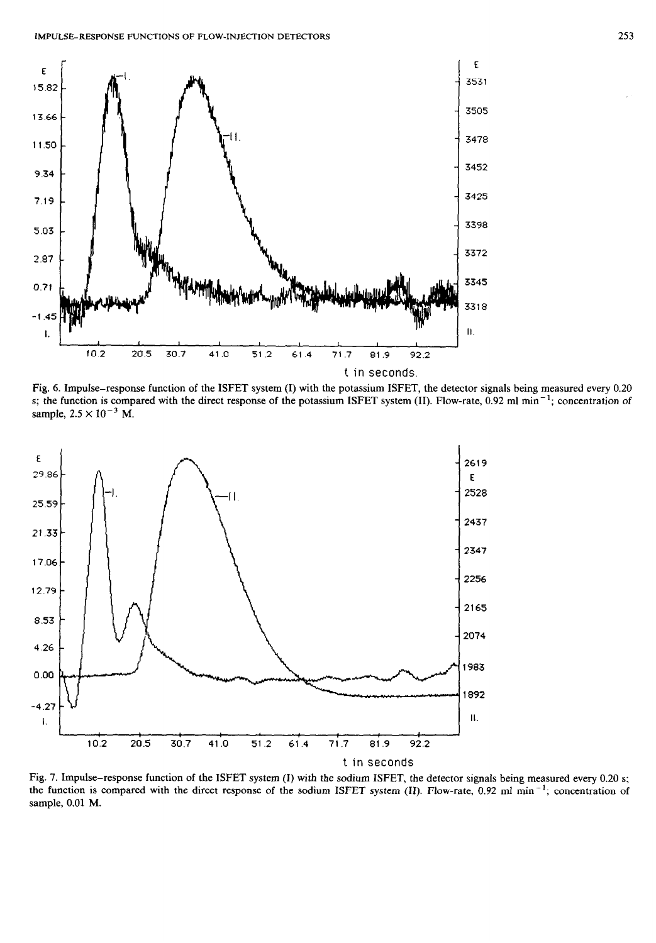

Fig. 6. Impulse-response function of the ISFET system (I) with the potassium ISFET, the detector signals being measured every 0.20 s; the function is compared with the direct response of the potassium ISFET system (II). Flow-rate, 0.92 ml min<sup>-1</sup>; concentration of sample,  $2.5 \times 10^{-3}$  M.



Fig. 7. Impulse–response function of the ISFET system (I) with the sodium ISFET, the detector signals being measured every 0.20 s; the function is compared with the direct response of the sodium ISFET system (II). Flow-rate, 0.92 ml min<sup>-1</sup>; concentration of sample, 0.01 M.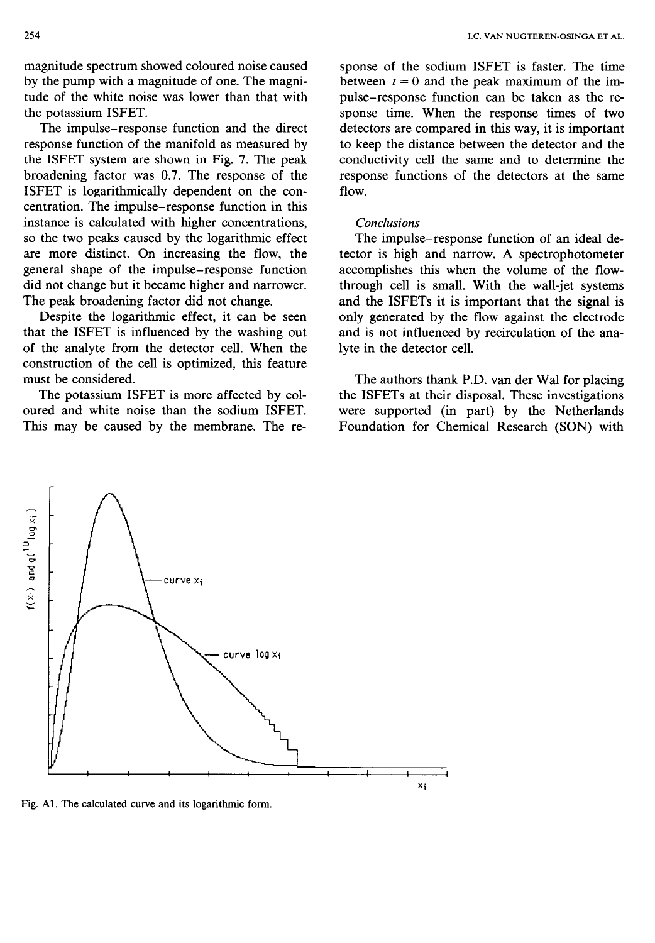magnitude spectrum showed coloured noise caused by the pump with a magnitude of one. The magnitude of the white noise was lower than that with the potassium ISFET.

The impulse-response function and the direct response function of the manifold as measured by the ISFET system are shown in Fig. 7. The peak broadening factor was 0.7. The response of the ISFET is logarithmically dependent on the concentration. The impulse-response function in this instance is calculated with higher concentrations, so the two peaks caused by the logarithmic effect are more distinct. On increasing the flow, the general shape of the impulse-response function did not change but it became higher and narrower. The peak broadening factor did not change.

Despite the logarithmic effect, it can be seen that the ISFET is influenced by the washing out of the analyte from the detector cell. When the construction of the cell is optimized, this feature must be considered.

The potassium ISFET is more affected by coloured and white noise than the sodium ISFET. This may be caused by the membrane. The re-

sponse of the sodium ISFET is faster. The time between  $t = 0$  and the peak maximum of the impulse-response function can be taken as the response time. When the response times of two detectors are compared in this way, it is important to keep the distance between the detector and the conductivity cell the same and to determine the response functions of the detectors at the same flow.

## *Conclusions*

The impulse-response function of an ideal detector is high and narrow. A spectrophotometer accomplishes this when the volume of the flowthrough cell is small. With the wall-jet systems and the ISFETs it is important that the signal is only generated by the flow against the electrode and is not influenced by recirculation of the analyte in the detector cell.

The authors thank P.D. van der Wal for placing the ISFETs at their disposal. These investigations were supported (in part) by the Netherlands Foundation for Chemical Research (SON) with



Fig. Al. The calculated curve and its logarithmic form.